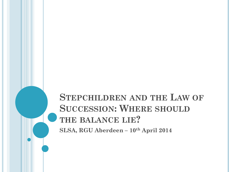# **STEPCHILDREN AND THE LAW OF SUCCESSION: WHERE SHOULD THE BALANCE LIE? SLSA, RGU Aberdeen – 10th April 2014**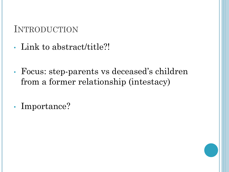# INTRODUCTION

- Link to abstract/title?!
- Focus: step-parents vs deceased's children from a former relationship (intestacy)
- Importance?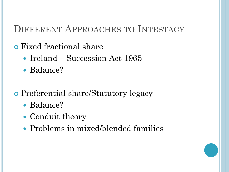# DIFFERENT APPROACHES TO INTESTACY

## Fixed fractional share

- Ireland Succession Act 1965
- Balance?
- Preferential share/Statutory legacy
	- Balance?
	- Conduit theory
	- Problems in mixed/blended families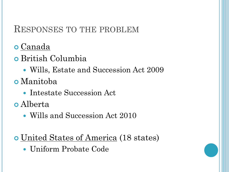#### RESPONSES TO THE PROBLEM

- Canada
- British Columbia
	- Wills, Estate and Succession Act 2009
- Manitoba
	- Intestate Succession Act
- Alberta
	- Wills and Succession Act 2010
- United States of America (18 states)
	- Uniform Probate Code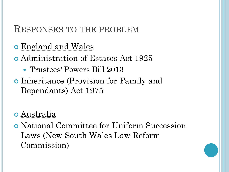#### RESPONSES TO THE PROBLEM

- **o** England and Wales
- Administration of Estates Act 1925
	- Trustees' Powers Bill 2013
- Inheritance (Provision for Family and Dependants) Act 1975
- Australia
- National Committee for Uniform Succession Laws (New South Wales Law Reform Commission)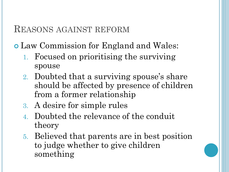#### REASONS AGAINST REFORM

Law Commission for England and Wales:

- 1. Focused on prioritising the surviving spouse
- 2. Doubted that a surviving spouse's share should be affected by presence of children from a former relationship
- 3. A desire for simple rules
- 4. Doubted the relevance of the conduit theory
- 5. Believed that parents are in best position to judge whether to give children something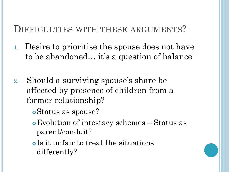#### DIFFICULTIES WITH THESE ARGUMENTS?

- 1. Desire to prioritise the spouse does not have to be abandoned… it's a question of balance
- 2. Should a surviving spouse's share be affected by presence of children from a former relationship?
	- Status as spouse?
	- Evolution of intestacy schemes Status as parent/conduit?
	- Is it unfair to treat the situations differently?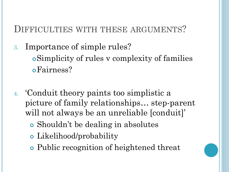## DIFFICULTIES WITH THESE ARGUMENTS?

- 3. Importance of simple rules? Simplicity of rules v complexity of families Fairness?
- 4. 'Conduit theory paints too simplistic a picture of family relationships… step-parent will not always be an unreliable [conduit]'
	- Shouldn't be dealing in absolutes
	- Likelihood/probability
	- Public recognition of heightened threat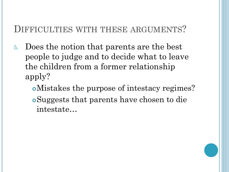#### DIFFICULTIES WITH THESE ARGUMENTS?

- 5. Does the notion that parents are the best people to judge and to decide what to leave the children from a former relationship apply?
	- Mistakes the purpose of intestacy regimes? Suggests that parents have chosen to die intestate…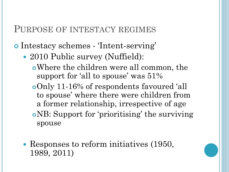#### PURPOSE OF INTESTACY REGIMES

Intestacy schemes - 'Intent-serving'

- 2010 Public survey (Nuffield):
	- Where the children were all common, the support for 'all to spouse' was 51%
	- Only 11-16% of respondents favoured 'all to spouse' where there were children from a former relationship, irrespective of age NB: Support for 'prioritising' the surviving spouse
- Responses to reform initiatives (1950, 1989, 2011)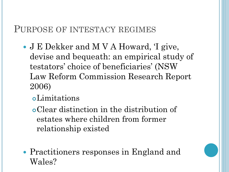#### PURPOSE OF INTESTACY REGIMES

- J E Dekker and M V A Howard, 'I give, devise and bequeath: an empirical study of testators' choice of beneficiaries' (NSW Law Reform Commission Research Report 2006)
	- Limitations

Clear distinction in the distribution of estates where children from former relationship existed

 Practitioners responses in England and Wales?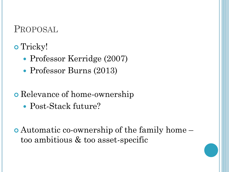## PROPOSAL

# o Tricky!

- Professor Kerridge (2007)
- Professor Burns (2013)
- **o** Relevance of home-ownership
	- Post-Stack future?

 Automatic co-ownership of the family home – too ambitious & too asset-specific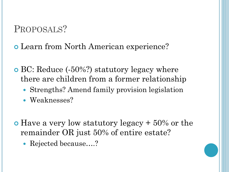# PROPOSALS?

#### Learn from North American experience?

- BC: Reduce (-50%?) statutory legacy where there are children from a former relationship
	- Strengths? Amend family provision legislation
	- Weaknesses?
- $\bullet$  Have a very low statutory legacy + 50% or the remainder OR just 50% of entire estate?
	- Rejected because....?